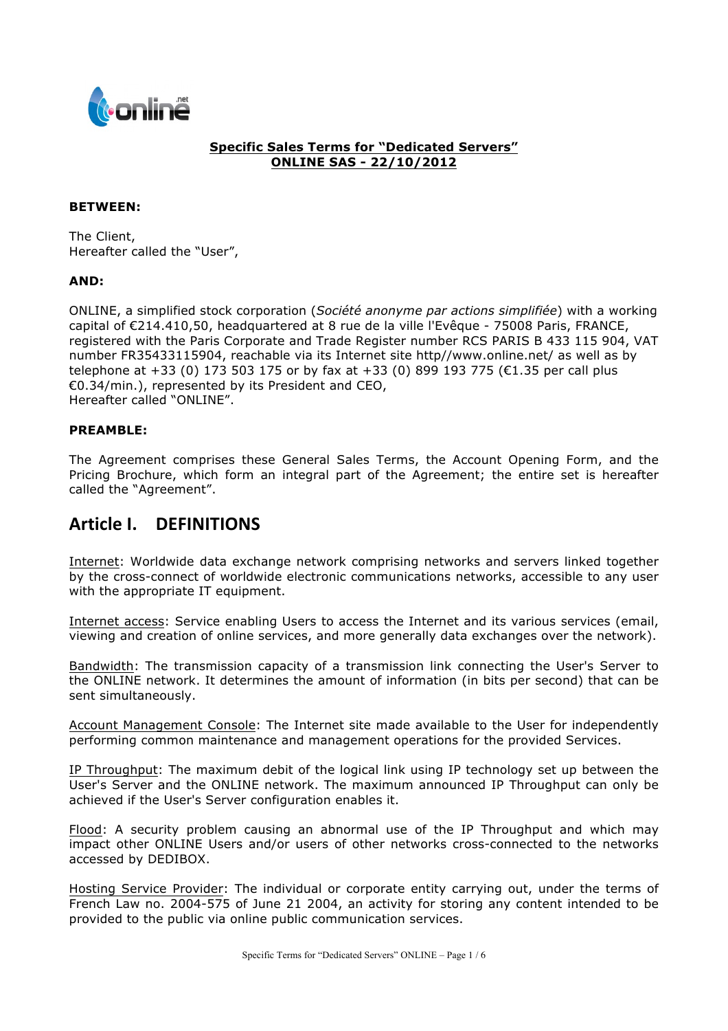

### **Specific Sales Terms for "Dedicated Servers" ONLINE SAS - 22/10/2012**

#### **BETWEEN:**

The Client, Hereafter called the "User",

#### **AND:**

ONLINE, a simplified stock corporation (*Société anonyme par actions simplifiée*) with a working capital of €214.410,50, headquartered at 8 rue de la ville l'Evêque - 75008 Paris, FRANCE, registered with the Paris Corporate and Trade Register number RCS PARIS B 433 115 904, VAT number FR35433115904, reachable via its Internet site http//www.online.net/ as well as by telephone at +33 (0) 173 503 175 or by fax at +33 (0) 899 193 775 (€1.35 per call plus €0.34/min.), represented by its President and CEO, Hereafter called "ONLINE".

#### **PREAMBLE:**

The Agreement comprises these General Sales Terms, the Account Opening Form, and the Pricing Brochure, which form an integral part of the Agreement; the entire set is hereafter called the "Agreement".

# **Article I. DEFINITIONS**

Internet: Worldwide data exchange network comprising networks and servers linked together by the cross-connect of worldwide electronic communications networks, accessible to any user with the appropriate IT equipment.

Internet access: Service enabling Users to access the Internet and its various services (email, viewing and creation of online services, and more generally data exchanges over the network).

Bandwidth: The transmission capacity of a transmission link connecting the User's Server to the ONLINE network. It determines the amount of information (in bits per second) that can be sent simultaneously.

Account Management Console: The Internet site made available to the User for independently performing common maintenance and management operations for the provided Services.

IP Throughput: The maximum debit of the logical link using IP technology set up between the User's Server and the ONLINE network. The maximum announced IP Throughput can only be achieved if the User's Server configuration enables it.

Flood: A security problem causing an abnormal use of the IP Throughput and which may impact other ONLINE Users and/or users of other networks cross-connected to the networks accessed by DEDIBOX.

Hosting Service Provider: The individual or corporate entity carrying out, under the terms of French Law no. 2004-575 of June 21 2004, an activity for storing any content intended to be provided to the public via online public communication services.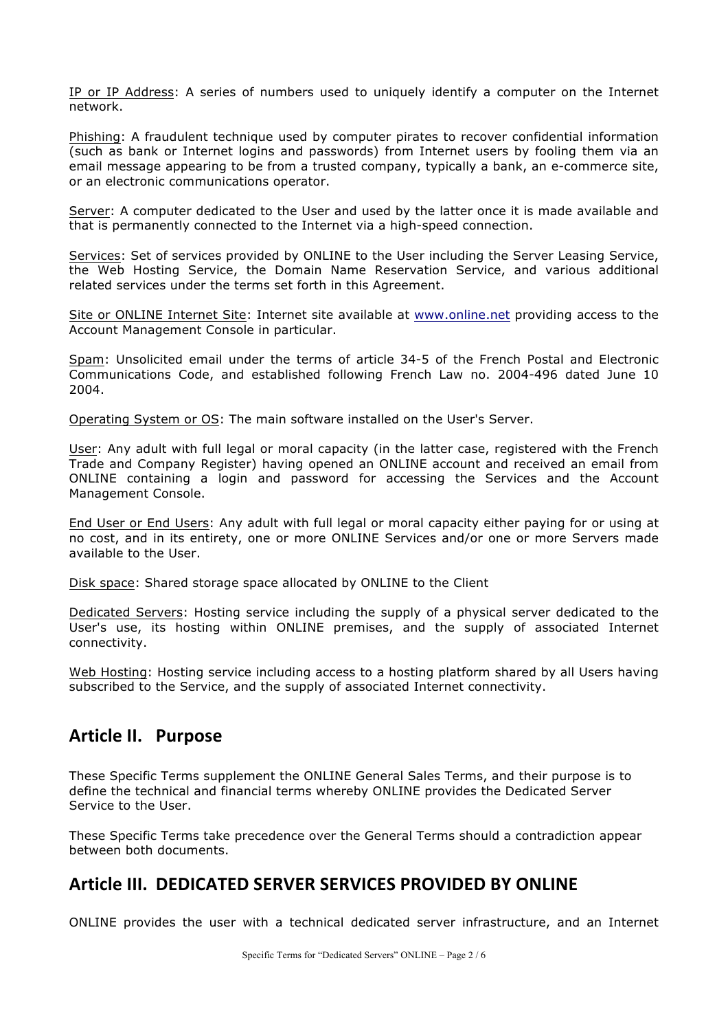IP or IP Address: A series of numbers used to uniquely identify a computer on the Internet network.

Phishing: A fraudulent technique used by computer pirates to recover confidential information (such as bank or Internet logins and passwords) from Internet users by fooling them via an email message appearing to be from a trusted company, typically a bank, an e-commerce site, or an electronic communications operator.

Server: A computer dedicated to the User and used by the latter once it is made available and that is permanently connected to the Internet via a high-speed connection.

Services: Set of services provided by ONLINE to the User including the Server Leasing Service, the Web Hosting Service, the Domain Name Reservation Service, and various additional related services under the terms set forth in this Agreement.

Site or ONLINE Internet Site: Internet site available at www.online.net providing access to the Account Management Console in particular.

Spam: Unsolicited email under the terms of article 34-5 of the French Postal and Electronic Communications Code, and established following French Law no. 2004-496 dated June 10 2004.

Operating System or OS: The main software installed on the User's Server.

User: Any adult with full legal or moral capacity (in the latter case, registered with the French Trade and Company Register) having opened an ONLINE account and received an email from ONLINE containing a login and password for accessing the Services and the Account Management Console.

End User or End Users: Any adult with full legal or moral capacity either paying for or using at no cost, and in its entirety, one or more ONLINE Services and/or one or more Servers made available to the User.

Disk space: Shared storage space allocated by ONLINE to the Client

Dedicated Servers: Hosting service including the supply of a physical server dedicated to the User's use, its hosting within ONLINE premises, and the supply of associated Internet connectivity.

Web Hosting: Hosting service including access to a hosting platform shared by all Users having subscribed to the Service, and the supply of associated Internet connectivity.

# **Article II. Purpose**

These Specific Terms supplement the ONLINE General Sales Terms, and their purpose is to define the technical and financial terms whereby ONLINE provides the Dedicated Server Service to the User.

These Specific Terms take precedence over the General Terms should a contradiction appear between both documents.

# Article III. DEDICATED SERVER SERVICES PROVIDED BY ONLINE

ONLINE provides the user with a technical dedicated server infrastructure, and an Internet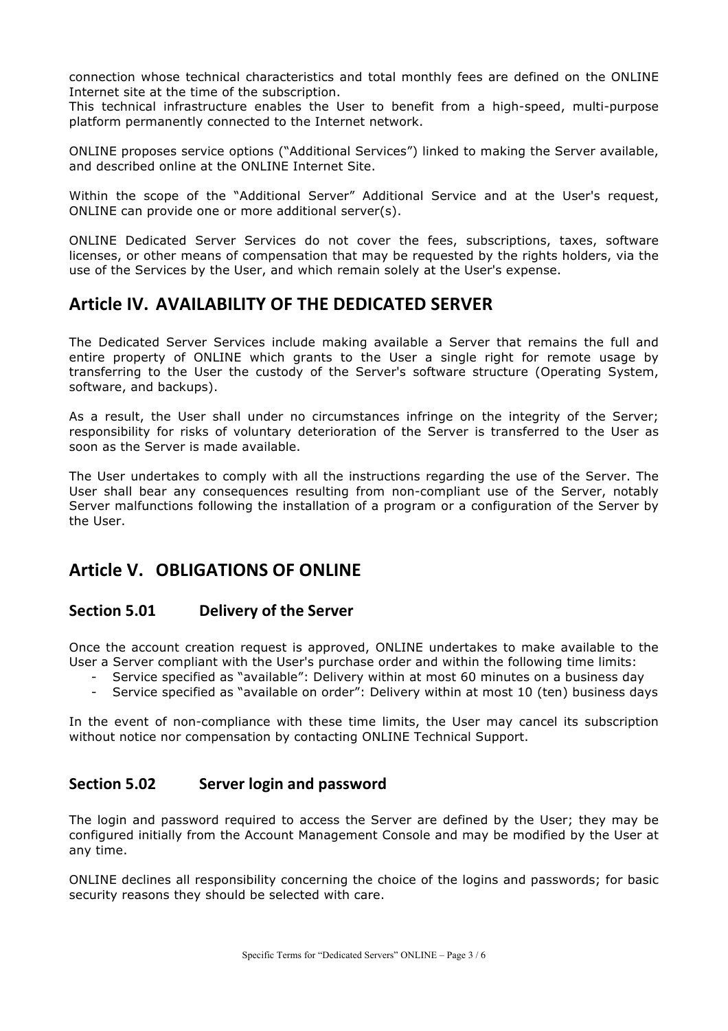connection whose technical characteristics and total monthly fees are defined on the ONLINE Internet site at the time of the subscription.

This technical infrastructure enables the User to benefit from a high-speed, multi-purpose platform permanently connected to the Internet network.

ONLINE proposes service options ("Additional Services") linked to making the Server available, and described online at the ONLINE Internet Site.

Within the scope of the "Additional Server" Additional Service and at the User's request, ONLINE can provide one or more additional server(s).

ONLINE Dedicated Server Services do not cover the fees, subscriptions, taxes, software licenses, or other means of compensation that may be requested by the rights holders, via the use of the Services by the User, and which remain solely at the User's expense.

## **Article IV. AVAILABILITY OF THE DEDICATED SERVER**

The Dedicated Server Services include making available a Server that remains the full and entire property of ONLINE which grants to the User a single right for remote usage by transferring to the User the custody of the Server's software structure (Operating System, software, and backups).

As a result, the User shall under no circumstances infringe on the integrity of the Server; responsibility for risks of voluntary deterioration of the Server is transferred to the User as soon as the Server is made available.

The User undertakes to comply with all the instructions regarding the use of the Server. The User shall bear any consequences resulting from non-compliant use of the Server, notably Server malfunctions following the installation of a program or a configuration of the Server by the User.

# **Article V. OBLIGATIONS OF ONLINE**

## **Section 5.01 Delivery of the Server**

Once the account creation request is approved, ONLINE undertakes to make available to the User a Server compliant with the User's purchase order and within the following time limits:

- Service specified as "available": Delivery within at most 60 minutes on a business day
- Service specified as "available on order": Delivery within at most 10 (ten) business days

In the event of non-compliance with these time limits, the User may cancel its subscription without notice nor compensation by contacting ONLINE Technical Support.

## **Section 5.02 Server login and password**

The login and password required to access the Server are defined by the User; they may be configured initially from the Account Management Console and may be modified by the User at any time.

ONLINE declines all responsibility concerning the choice of the logins and passwords; for basic security reasons they should be selected with care.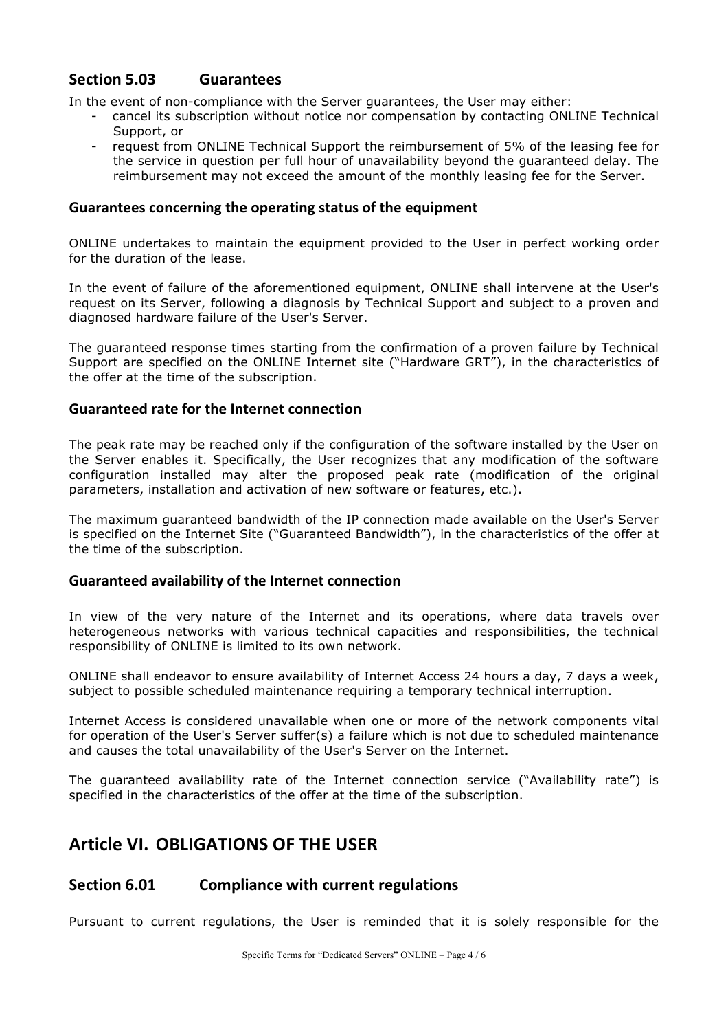## **Section 5.03 Guarantees**

In the event of non-compliance with the Server guarantees, the User may either:

- cancel its subscription without notice nor compensation by contacting ONLINE Technical Support, or
- request from ONLINE Technical Support the reimbursement of 5% of the leasing fee for the service in question per full hour of unavailability beyond the guaranteed delay. The reimbursement may not exceed the amount of the monthly leasing fee for the Server.

### Guarantees concerning the operating status of the equipment

ONLINE undertakes to maintain the equipment provided to the User in perfect working order for the duration of the lease.

In the event of failure of the aforementioned equipment, ONLINE shall intervene at the User's request on its Server, following a diagnosis by Technical Support and subject to a proven and diagnosed hardware failure of the User's Server.

The guaranteed response times starting from the confirmation of a proven failure by Technical Support are specified on the ONLINE Internet site ("Hardware GRT"), in the characteristics of the offer at the time of the subscription.

### **Guaranteed rate for the Internet connection**

The peak rate may be reached only if the configuration of the software installed by the User on the Server enables it. Specifically, the User recognizes that any modification of the software configuration installed may alter the proposed peak rate (modification of the original parameters, installation and activation of new software or features, etc.).

The maximum guaranteed bandwidth of the IP connection made available on the User's Server is specified on the Internet Site ("Guaranteed Bandwidth"), in the characteristics of the offer at the time of the subscription.

### **Guaranteed availability of the Internet connection**

In view of the very nature of the Internet and its operations, where data travels over heterogeneous networks with various technical capacities and responsibilities, the technical responsibility of ONLINE is limited to its own network.

ONLINE shall endeavor to ensure availability of Internet Access 24 hours a day, 7 days a week, subject to possible scheduled maintenance requiring a temporary technical interruption.

Internet Access is considered unavailable when one or more of the network components vital for operation of the User's Server suffer(s) a failure which is not due to scheduled maintenance and causes the total unavailability of the User's Server on the Internet.

The guaranteed availability rate of the Internet connection service ("Availability rate") is specified in the characteristics of the offer at the time of the subscription.

# **Article VI. OBLIGATIONS OF THE USER**

## **Section 6.01 Compliance with current regulations**

Pursuant to current regulations, the User is reminded that it is solely responsible for the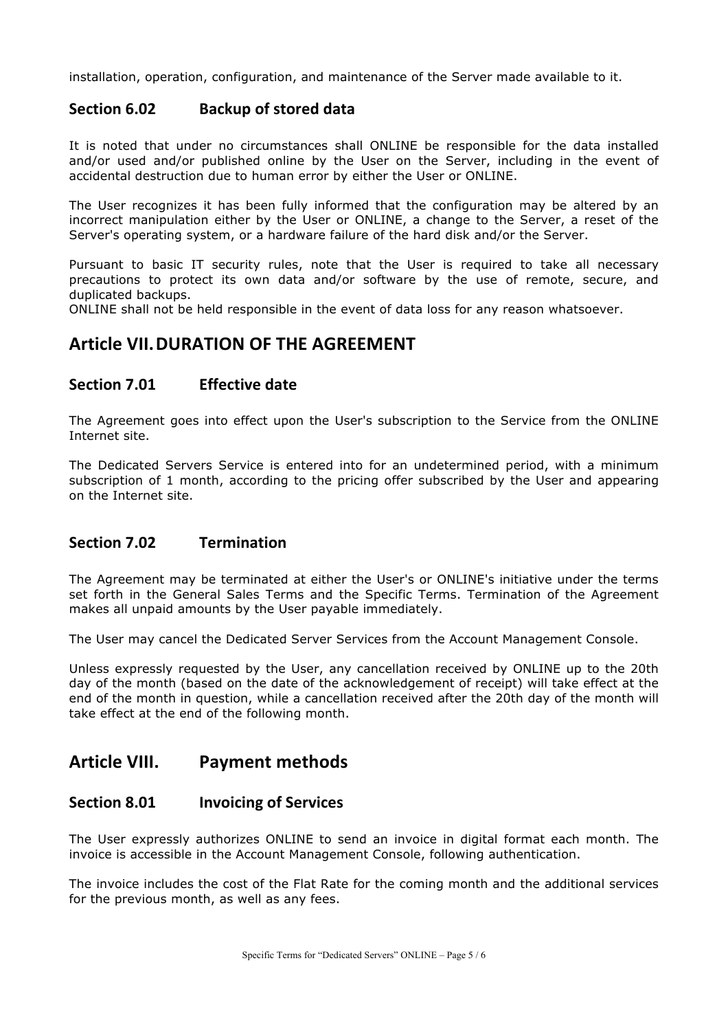installation, operation, configuration, and maintenance of the Server made available to it.

## **Section 6.02 Backup of stored data**

It is noted that under no circumstances shall ONLINE be responsible for the data installed and/or used and/or published online by the User on the Server, including in the event of accidental destruction due to human error by either the User or ONLINE.

The User recognizes it has been fully informed that the configuration may be altered by an incorrect manipulation either by the User or ONLINE, a change to the Server, a reset of the Server's operating system, or a hardware failure of the hard disk and/or the Server.

Pursuant to basic IT security rules, note that the User is required to take all necessary precautions to protect its own data and/or software by the use of remote, secure, and duplicated backups.

ONLINE shall not be held responsible in the event of data loss for any reason whatsoever.

# **Article VII. DURATION OF THE AGREEMENT**

## **Section 7.01 Effective date**

The Agreement goes into effect upon the User's subscription to the Service from the ONLINE Internet site.

The Dedicated Servers Service is entered into for an undetermined period, with a minimum subscription of 1 month, according to the pricing offer subscribed by the User and appearing on the Internet site.

## **Section 7.02 Termination**

The Agreement may be terminated at either the User's or ONLINE's initiative under the terms set forth in the General Sales Terms and the Specific Terms. Termination of the Agreement makes all unpaid amounts by the User payable immediately.

The User may cancel the Dedicated Server Services from the Account Management Console.

Unless expressly requested by the User, any cancellation received by ONLINE up to the 20th day of the month (based on the date of the acknowledgement of receipt) will take effect at the end of the month in question, while a cancellation received after the 20th day of the month will take effect at the end of the following month.

# **Article VIII. Payment methods**

## **Section 8.01 Invoicing of Services**

The User expressly authorizes ONLINE to send an invoice in digital format each month. The invoice is accessible in the Account Management Console, following authentication.

The invoice includes the cost of the Flat Rate for the coming month and the additional services for the previous month, as well as any fees.